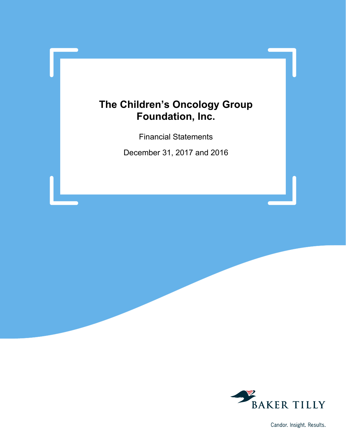Financial Statements

December 31, 2017 and 2016



Candor. Insight. Results.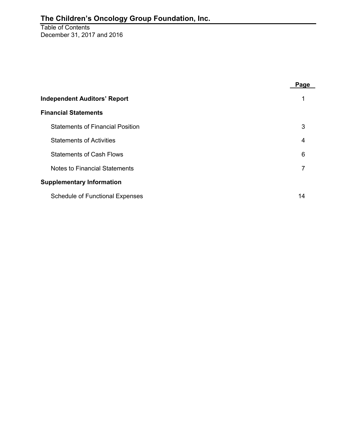Table of Contents December 31, 2017 and 2016

|                                         | Page |  |  |  |  |  |
|-----------------------------------------|------|--|--|--|--|--|
| <b>Independent Auditors' Report</b>     |      |  |  |  |  |  |
| <b>Financial Statements</b>             |      |  |  |  |  |  |
| <b>Statements of Financial Position</b> | 3    |  |  |  |  |  |
| <b>Statements of Activities</b>         | 4    |  |  |  |  |  |
| <b>Statements of Cash Flows</b>         | 6    |  |  |  |  |  |
| <b>Notes to Financial Statements</b>    | 7    |  |  |  |  |  |
| <b>Supplementary Information</b>        |      |  |  |  |  |  |
| <b>Schedule of Functional Expenses</b>  | 14   |  |  |  |  |  |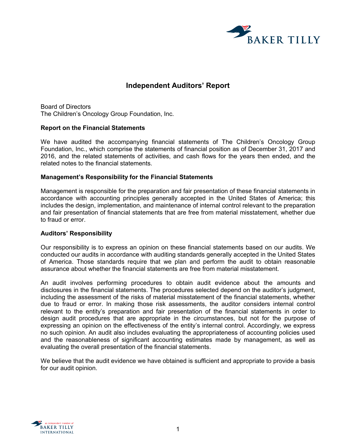

# **Independent Auditors' Report**

Board of Directors The Children's Oncology Group Foundation, Inc.

#### **Report on the Financial Statements**

We have audited the accompanying financial statements of The Children's Oncology Group Foundation, Inc., which comprise the statements of financial position as of December 31, 2017 and 2016, and the related statements of activities, and cash flows for the years then ended, and the related notes to the financial statements.

#### **Management's Responsibility for the Financial Statements**

Management is responsible for the preparation and fair presentation of these financial statements in accordance with accounting principles generally accepted in the United States of America; this includes the design, implementation, and maintenance of internal control relevant to the preparation and fair presentation of financial statements that are free from material misstatement, whether due to fraud or error.

#### **Auditors' Responsibility**

Our responsibility is to express an opinion on these financial statements based on our audits. We conducted our audits in accordance with auditing standards generally accepted in the United States of America. Those standards require that we plan and perform the audit to obtain reasonable assurance about whether the financial statements are free from material misstatement.

An audit involves performing procedures to obtain audit evidence about the amounts and disclosures in the financial statements. The procedures selected depend on the auditor's judgment, including the assessment of the risks of material misstatement of the financial statements, whether due to fraud or error. In making those risk assessments, the auditor considers internal control relevant to the entity's preparation and fair presentation of the financial statements in order to design audit procedures that are appropriate in the circumstances, but not for the purpose of expressing an opinion on the effectiveness of the entity's internal control. Accordingly, we express no such opinion. An audit also includes evaluating the appropriateness of accounting policies used and the reasonableness of significant accounting estimates made by management, as well as evaluating the overall presentation of the financial statements.

We believe that the audit evidence we have obtained is sufficient and appropriate to provide a basis for our audit opinion.

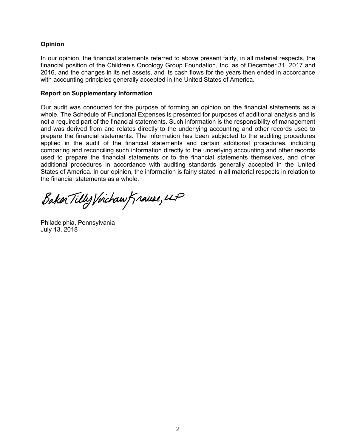### **Opinion**

In our opinion, the financial statements referred to above present fairly, in all material respects, the financial position of the Children's Oncology Group Foundation, Inc. as of December 31, 2017 and 2016, and the changes in its net assets, and its cash flows for the years then ended in accordance with accounting principles generally accepted in the United States of America.

#### **Report on Supplementary Information**

Our audit was conducted for the purpose of forming an opinion on the financial statements as a whole. The Schedule of Functional Expenses is presented for purposes of additional analysis and is not a required part of the financial statements. Such information is the responsibility of management and was derived from and relates directly to the underlying accounting and other records used to prepare the financial statements. The information has been subjected to the auditing procedures applied in the audit of the financial statements and certain additional procedures, including comparing and reconciling such information directly to the underlying accounting and other records used to prepare the financial statements or to the financial statements themselves, and other additional procedures in accordance with auditing standards generally accepted in the United States of America. In our opinion, the information is fairly stated in all material respects in relation to the financial statements as a whole.

Baker Tilly Virchaw Krause, LP

Philadelphia, Pennsylvania July 13, 2018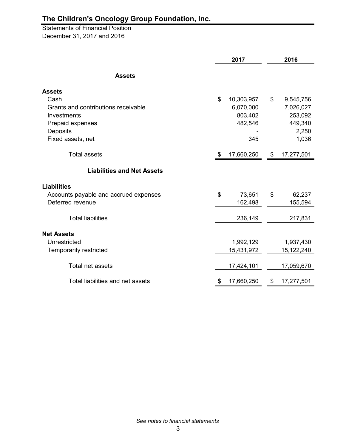Statements of Financial Position December 31, 2017 and 2016

|                                       | 2017             | 2016             |  |  |
|---------------------------------------|------------------|------------------|--|--|
| <b>Assets</b>                         |                  |                  |  |  |
| <b>Assets</b>                         |                  |                  |  |  |
| Cash                                  | \$<br>10,303,957 | \$<br>9,545,756  |  |  |
| Grants and contributions receivable   | 6,070,000        | 7,026,027        |  |  |
| Investments                           | 803,402          | 253,092          |  |  |
| Prepaid expenses                      | 482,546          | 449,340          |  |  |
| Deposits                              |                  | 2,250            |  |  |
| Fixed assets, net                     | 345              | 1,036            |  |  |
| <b>Total assets</b>                   | \$<br>17,660,250 | \$<br>17,277,501 |  |  |
| <b>Liabilities and Net Assets</b>     |                  |                  |  |  |
| <b>Liabilities</b>                    |                  |                  |  |  |
| Accounts payable and accrued expenses | \$<br>73,651     | \$<br>62,237     |  |  |
| Deferred revenue                      | 162,498          | 155,594          |  |  |
| <b>Total liabilities</b>              | 236,149          | 217,831          |  |  |
| <b>Net Assets</b>                     |                  |                  |  |  |
| Unrestricted                          | 1,992,129        | 1,937,430        |  |  |
| <b>Temporarily restricted</b>         | 15,431,972       | 15,122,240       |  |  |
| Total net assets                      | 17,424,101       | 17,059,670       |  |  |
| Total liabilities and net assets      | \$<br>17,660,250 | \$<br>17,277,501 |  |  |

*See notes to financial statements*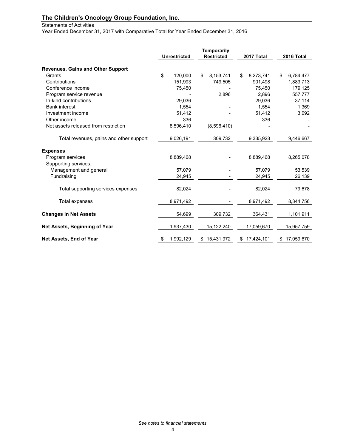#### Statements of Activities

Year Ended December 31, 2017 with Comparative Total for Year Ended December 31, 2016

|                                          | <b>Temporarily</b><br><b>Restricted</b><br><b>Unrestricted</b> |    |             |    | 2017 Total | 2016 Total       |
|------------------------------------------|----------------------------------------------------------------|----|-------------|----|------------|------------------|
| <b>Revenues, Gains and Other Support</b> |                                                                |    |             |    |            |                  |
| Grants                                   | \$<br>120,000                                                  | \$ | 8.153,741   | \$ | 8,273,741  | \$<br>6,784,477  |
| Contributions                            | 151,993                                                        |    | 749,505     |    | 901,498    | 1,883,713        |
| Conference income                        | 75,450                                                         |    |             |    | 75,450     | 179,125          |
| Program service revenue                  |                                                                |    | 2,896       |    | 2,896      | 557,777          |
| In-kind contributions                    | 29,036                                                         |    |             |    | 29,036     | 37,114           |
| <b>Bank interest</b>                     | 1,554                                                          |    |             |    | 1,554      | 1,369            |
| Investment income                        | 51,412                                                         |    |             |    | 51,412     | 3,092            |
| Other income                             | 336                                                            |    |             |    | 336        |                  |
| Net assets released from restriction     | 8,596,410                                                      |    | (8,596,410) |    |            |                  |
| Total revenues, gains and other support  | 9,026,191                                                      |    | 309,732     |    | 9,335,923  | 9,446,667        |
| <b>Expenses</b>                          |                                                                |    |             |    |            |                  |
| Program services                         | 8,889,468                                                      |    |             |    | 8,889,468  | 8,265,078        |
| Supporting services:                     |                                                                |    |             |    |            |                  |
| Management and general                   | 57.079                                                         |    |             |    | 57.079     | 53,539           |
| Fundraising                              | 24,945                                                         |    |             |    | 24,945     | 26,139           |
| Total supporting services expenses       | 82,024                                                         |    |             |    | 82,024     | 79,678           |
| Total expenses                           | 8,971,492                                                      |    |             |    | 8,971,492  | 8,344,756        |
| <b>Changes in Net Assets</b>             | 54,699                                                         |    | 309,732     |    | 364,431    | 1,101,911        |
| Net Assets, Beginning of Year            | 1,937,430                                                      |    | 15,122,240  |    | 17,059,670 | 15,957,759       |
| Net Assets, End of Year                  | \$<br>1,992,129                                                | \$ | 15,431,972  | \$ | 17,424,101 | \$<br>17,059,670 |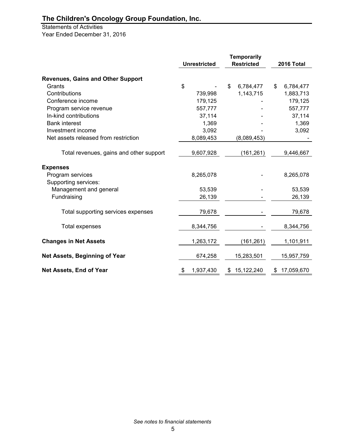# Statements of Activities

Year Ended December 31, 2016

|                                          | <b>Unrestricted</b> |    | <b>Temporarily</b><br><b>Restricted</b> | 2016 Total      |
|------------------------------------------|---------------------|----|-----------------------------------------|-----------------|
|                                          |                     |    |                                         |                 |
| <b>Revenues, Gains and Other Support</b> |                     |    |                                         |                 |
| Grants                                   | \$                  | \$ | 6,784,477                               | \$<br>6,784,477 |
| Contributions                            | 739,998             |    | 1,143,715                               | 1,883,713       |
| Conference income                        | 179,125             |    |                                         | 179,125         |
| Program service revenue                  | 557,777             |    |                                         | 557,777         |
| In-kind contributions                    | 37,114              |    |                                         | 37,114          |
| <b>Bank interest</b>                     | 1,369               |    |                                         | 1,369           |
| Investment income                        | 3,092               |    |                                         | 3,092           |
| Net assets released from restriction     | 8,089,453           |    | (8,089,453)                             |                 |
| Total revenues, gains and other support  | 9,607,928           |    | (161, 261)                              | 9,446,667       |
| <b>Expenses</b>                          |                     |    |                                         |                 |
| Program services                         | 8,265,078           |    |                                         | 8,265,078       |
| Supporting services:                     |                     |    |                                         |                 |
| Management and general                   | 53,539              |    |                                         | 53,539          |
| Fundraising                              | 26,139              |    |                                         | 26,139          |
| Total supporting services expenses       | 79,678              |    |                                         | 79,678          |
| Total expenses                           | 8,344,756           |    |                                         | 8,344,756       |
| <b>Changes in Net Assets</b>             | 1,263,172           |    | (161, 261)                              | 1,101,911       |
| Net Assets, Beginning of Year            | 674,258             |    | 15,283,501                              | 15,957,759      |
| Net Assets, End of Year                  | 1,937,430<br>\$     |    | \$15,122,240                            | \$17,059,670    |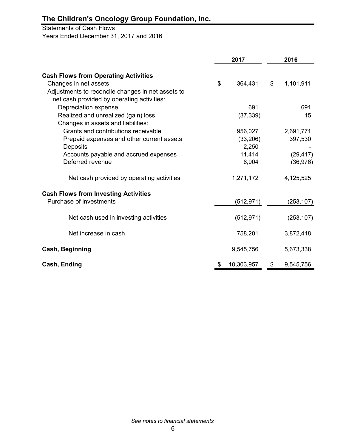Statements of Cash Flows Years Ended December 31, 2017 and 2016

|                                                   | 2017             |                | 2016       |  |
|---------------------------------------------------|------------------|----------------|------------|--|
| <b>Cash Flows from Operating Activities</b>       |                  |                |            |  |
| Changes in net assets                             | \$<br>364,431    | $\mathfrak{S}$ | 1,101,911  |  |
| Adjustments to reconcile changes in net assets to |                  |                |            |  |
| net cash provided by operating activities:        |                  |                |            |  |
| Depreciation expense                              | 691              |                | 691        |  |
| Realized and unrealized (gain) loss               | (37, 339)        |                | 15         |  |
| Changes in assets and liabilities:                |                  |                |            |  |
| Grants and contributions receivable               | 956,027          |                | 2,691,771  |  |
| Prepaid expenses and other current assets         | (33,206)         |                | 397,530    |  |
| Deposits                                          | 2,250            |                |            |  |
| Accounts payable and accrued expenses             | 11,414           |                | (29, 417)  |  |
| Deferred revenue                                  | 6,904            |                | (36, 976)  |  |
| Net cash provided by operating activities         | 1,271,172        |                | 4,125,525  |  |
| <b>Cash Flows from Investing Activities</b>       |                  |                |            |  |
| Purchase of investments                           | (512, 971)       |                | (253, 107) |  |
| Net cash used in investing activities             | (512, 971)       |                | (253, 107) |  |
| Net increase in cash                              | 758,201          |                | 3,872,418  |  |
| <b>Cash, Beginning</b>                            | 9,545,756        |                | 5,673,338  |  |
| Cash, Ending                                      | \$<br>10,303,957 | \$             | 9,545,756  |  |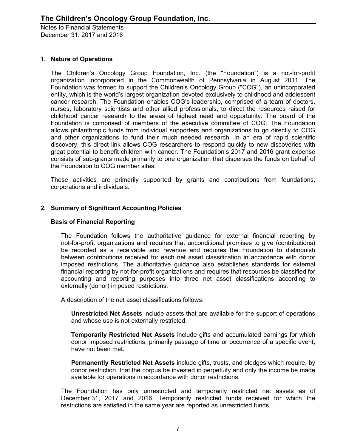### **1. Nature of Operations**

The Children's Oncology Group Foundation, Inc. (the "Foundation") is a not-for-profit organization incorporated in the Commonwealth of Pennsylvania in August 2011. The Foundation was formed to support the Children's Oncology Group ("COG"), an unincorporated entity, which is the world's largest organization devoted exclusively to childhood and adolescent cancer research. The Foundation enables COG's leadership, comprised of a team of doctors, nurses, laboratory scientists and other allied professionals, to direct the resources raised for childhood cancer research to the areas of highest need and opportunity. The board of the Foundation is comprised of members of the executive committee of COG. The Foundation allows philanthropic funds from individual supporters and organizations to go directly to COG and other organizations to fund their much needed research. In an era of rapid scientific discovery, this direct link allows COG researchers to respond quickly to new discoveries with great potential to benefit children with cancer. The Foundation's 2017 and 2016 grant expense consists of sub-grants made primarily to one organization that disperses the funds on behalf of the Foundation to COG member sites.

These activities are primarily supported by grants and contributions from foundations, corporations and individuals.

## **2. Summary of Significant Accounting Policies**

#### **Basis of Financial Reporting**

The Foundation follows the authoritative guidance for external financial reporting by not-for-profit organizations and requires that unconditional promises to give (contributions) be recorded as a receivable and revenue and requires the Foundation to distinguish between contributions received for each net asset classification in accordance with donor imposed restrictions. The authoritative guidance also establishes standards for external financial reporting by not-for-profit organizations and requires that resources be classified for accounting and reporting purposes into three net asset classifications according to externally (donor) imposed restrictions.

A description of the net asset classifications follows:

**Unrestricted Net Assets** include assets that are available for the support of operations and whose use is not externally restricted.

**Temporarily Restricted Net Assets** include gifts and accumulated earnings for which donor imposed restrictions, primarily passage of time or occurrence of a specific event, have not been met.

**Permanently Restricted Net Assets** include gifts, trusts, and pledges which require, by donor restriction, that the corpus be invested in perpetuity and only the income be made available for operations in accordance with donor restrictions.

The Foundation has only unrestricted and temporarily restricted net assets as of December 31, 2017 and 2016. Temporarily restricted funds received for which the restrictions are satisfied in the same year are reported as unrestricted funds.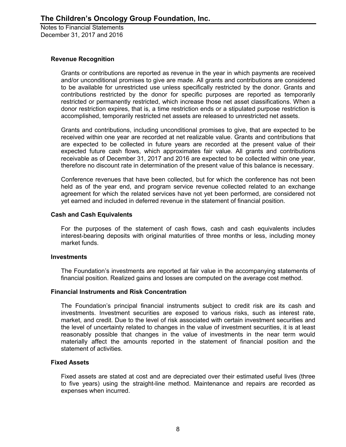#### **Revenue Recognition**

Grants or contributions are reported as revenue in the year in which payments are received and/or unconditional promises to give are made. All grants and contributions are considered to be available for unrestricted use unless specifically restricted by the donor. Grants and contributions restricted by the donor for specific purposes are reported as temporarily restricted or permanently restricted, which increase those net asset classifications. When a donor restriction expires, that is, a time restriction ends or a stipulated purpose restriction is accomplished, temporarily restricted net assets are released to unrestricted net assets.

Grants and contributions, including unconditional promises to give, that are expected to be received within one year are recorded at net realizable value. Grants and contributions that are expected to be collected in future years are recorded at the present value of their expected future cash flows, which approximates fair value. All grants and contributions receivable as of December 31, 2017 and 2016 are expected to be collected within one year, therefore no discount rate in determination of the present value of this balance is necessary.

Conference revenues that have been collected, but for which the conference has not been held as of the year end, and program service revenue collected related to an exchange agreement for which the related services have not yet been performed, are considered not yet earned and included in deferred revenue in the statement of financial position.

#### **Cash and Cash Equivalents**

For the purposes of the statement of cash flows, cash and cash equivalents includes interest-bearing deposits with original maturities of three months or less, including money market funds.

#### **Investments**

The Foundation's investments are reported at fair value in the accompanying statements of financial position. Realized gains and losses are computed on the average cost method.

#### **Financial Instruments and Risk Concentration**

The Foundation's principal financial instruments subject to credit risk are its cash and investments. Investment securities are exposed to various risks, such as interest rate, market, and credit. Due to the level of risk associated with certain investment securities and the level of uncertainty related to changes in the value of investment securities, it is at least reasonably possible that changes in the value of investments in the near term would materially affect the amounts reported in the statement of financial position and the statement of activities.

#### **Fixed Assets**

Fixed assets are stated at cost and are depreciated over their estimated useful lives (three to five years) using the straight-line method. Maintenance and repairs are recorded as expenses when incurred.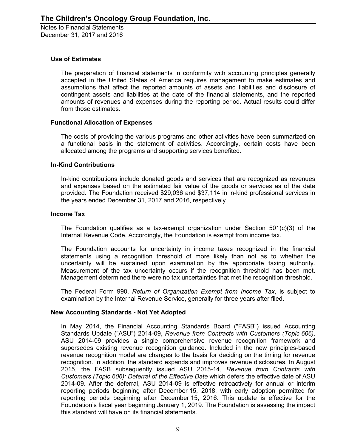#### **Use of Estimates**

The preparation of financial statements in conformity with accounting principles generally accepted in the United States of America requires management to make estimates and assumptions that affect the reported amounts of assets and liabilities and disclosure of contingent assets and liabilities at the date of the financial statements, and the reported amounts of revenues and expenses during the reporting period. Actual results could differ from those estimates.

#### **Functional Allocation of Expenses**

The costs of providing the various programs and other activities have been summarized on a functional basis in the statement of activities. Accordingly, certain costs have been allocated among the programs and supporting services benefited.

#### **In-Kind Contributions**

In-kind contributions include donated goods and services that are recognized as revenues and expenses based on the estimated fair value of the goods or services as of the date provided. The Foundation received \$29,036 and \$37,114 in in-kind professional services in the years ended December 31, 2017 and 2016, respectively.

#### **Income Tax**

The Foundation qualifies as a tax-exempt organization under Section 501(c)(3) of the Internal Revenue Code. Accordingly, the Foundation is exempt from income tax.

The Foundation accounts for uncertainty in income taxes recognized in the financial statements using a recognition threshold of more likely than not as to whether the uncertainty will be sustained upon examination by the appropriate taxing authority. Measurement of the tax uncertainty occurs if the recognition threshold has been met. Management determined there were no tax uncertainties that met the recognition threshold.

The Federal Form 990, *Return of Organization Exempt from Income Tax*, is subject to examination by the Internal Revenue Service, generally for three years after filed.

#### **New Accounting Standards - Not Yet Adopted**

In May 2014, the Financial Accounting Standards Board ("FASB") issued Accounting Standards Update ("ASU") 2014-09, *Revenue from Contracts with Customers (Topic 606)*. ASU 2014-09 provides a single comprehensive revenue recognition framework and supersedes existing revenue recognition guidance. Included in the new principles-based revenue recognition model are changes to the basis for deciding on the timing for revenue recognition. In addition, the standard expands and improves revenue disclosures. In August 2015, the FASB subsequently issued ASU 2015-14, *Revenue from Contracts with Customers (Topic 606): Deferral of the Effective Date* which defers the effective date of ASU 2014-09. After the deferral, ASU 2014-09 is effective retroactively for annual or interim reporting periods beginning after December 15, 2018, with early adoption permitted for reporting periods beginning after December 15, 2016. This update is effective for the Foundation's fiscal year beginning January 1, 2019. The Foundation is assessing the impact this standard will have on its financial statements.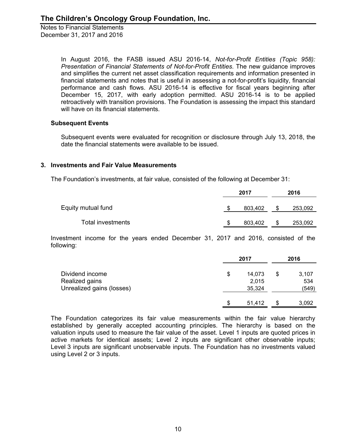> In August 2016, the FASB issued ASU 2016-14, *Not-for-Profit Entities (Topic 958): Presentation of Financial Statements of Not-for-Profit Entities*. The new guidance improves and simplifies the current net asset classification requirements and information presented in financial statements and notes that is useful in assessing a not-for-profit's liquidity, financial performance and cash flows. ASU 2016-14 is effective for fiscal years beginning after December 15, 2017, with early adoption permitted. ASU 2016-14 is to be applied retroactively with transition provisions. The Foundation is assessing the impact this standard will have on its financial statements.

#### **Subsequent Events**

Subsequent events were evaluated for recognition or disclosure through July 13, 2018, the date the financial statements were available to be issued.

## **3. Investments and Fair Value Measurements**

The Foundation's investments, at fair value, consisted of the following at December 31:

|                    | 2017 |         |   |         |  |
|--------------------|------|---------|---|---------|--|
| Equity mutual fund |      | 803,402 |   | 253,092 |  |
| Total investments  | S    | 803,402 | S | 253,092 |  |

Investment income for the years ended December 31, 2017 and 2016, consisted of the following:

|                           | 2017         |   |       |  |  |
|---------------------------|--------------|---|-------|--|--|
| Dividend income           | \$<br>14,073 | S | 3,107 |  |  |
| Realized gains            | 2,015        |   | 534   |  |  |
| Unrealized gains (losses) | 35,324       |   | (549) |  |  |
|                           | \$<br>51,412 |   | 3,092 |  |  |

The Foundation categorizes its fair value measurements within the fair value hierarchy established by generally accepted accounting principles. The hierarchy is based on the valuation inputs used to measure the fair value of the asset. Level 1 inputs are quoted prices in active markets for identical assets; Level 2 inputs are significant other observable inputs; Level 3 inputs are significant unobservable inputs. The Foundation has no investments valued using Level 2 or 3 inputs.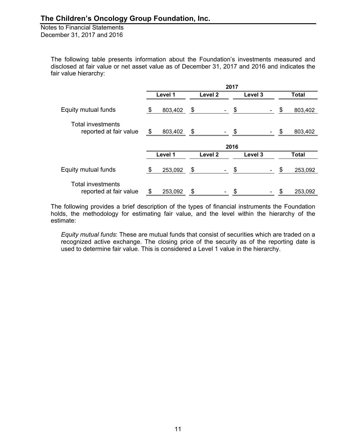> The following table presents information about the Foundation's investments measured and disclosed at fair value or net asset value as of December 31, 2017 and 2016 and indicates the fair value hierarchy:

|                                                    |                               |         |    | 2017               |         |       |               |
|----------------------------------------------------|-------------------------------|---------|----|--------------------|---------|-------|---------------|
|                                                    | Level 1<br>Level 2<br>Level 3 |         |    |                    |         | Total |               |
| Equity mutual funds                                | \$                            | 803,402 | \$ |                    | \$      |       | \$<br>803,402 |
| <b>Total investments</b><br>reported at fair value | \$                            | 803,402 | \$ |                    | \$      |       | \$<br>803,402 |
|                                                    |                               |         |    |                    | 2016    |       |               |
|                                                    |                               | Level 1 |    | Level <sub>2</sub> | Level 3 |       | <b>Total</b>  |
| Equity mutual funds                                | \$                            | 253,092 | \$ |                    | \$      |       | \$<br>253,092 |
| <b>Total investments</b><br>reported at fair value | \$                            | 253,092 | \$ |                    | \$      |       | \$<br>253,092 |

The following provides a brief description of the types of financial instruments the Foundation holds, the methodology for estimating fair value, and the level within the hierarchy of the estimate:

*Equity mutual funds*: These are mutual funds that consist of securities which are traded on a recognized active exchange. The closing price of the security as of the reporting date is used to determine fair value. This is considered a Level 1 value in the hierarchy.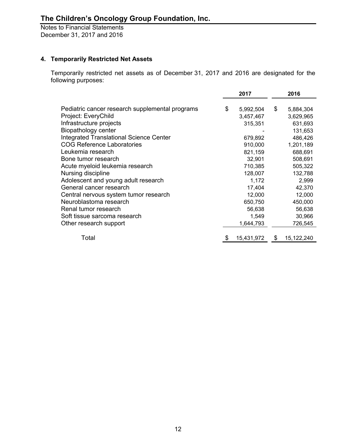## **4. Temporarily Restricted Net Assets**

Temporarily restricted net assets as of December 31, 2017 and 2016 are designated for the following purposes:

|                                                 | 2017             | 2016             |
|-------------------------------------------------|------------------|------------------|
| Pediatric cancer research supplemental programs | \$<br>5,992,504  | \$<br>5,884,304  |
| Project: EveryChild                             | 3,457,467        | 3,629,965        |
| Infrastructure projects                         | 315,351          | 631,693          |
| Biopathology center                             |                  | 131,653          |
| <b>Integrated Translational Science Center</b>  | 679,892          | 486,426          |
| <b>COG Reference Laboratories</b>               | 910,000          | 1,201,189        |
| Leukemia research                               | 821,159          | 688,691          |
| Bone tumor research                             | 32,901           | 508,691          |
| Acute myeloid leukemia research                 | 710,385          | 505,322          |
| Nursing discipline                              | 128,007          | 132,788          |
| Adolescent and young adult research             | 1,172            | 2,999            |
| General cancer research                         | 17,404           | 42,370           |
| Central nervous system tumor research           | 12,000           | 12,000           |
| Neuroblastoma research                          | 650,750          | 450,000          |
| Renal tumor research                            | 56,638           | 56,638           |
| Soft tissue sarcoma research                    | 1,549            | 30,966           |
| Other research support                          | 1,644,793        | 726,545          |
| Total                                           | \$<br>15,431,972 | \$<br>15,122,240 |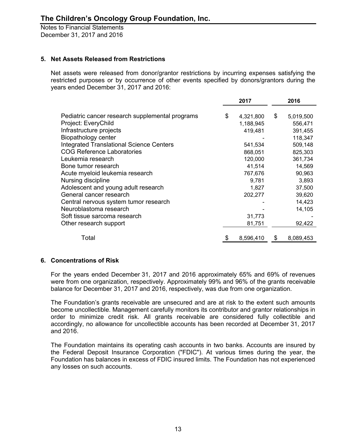## **5. Net Assets Released from Restrictions**

Net assets were released from donor/grantor restrictions by incurring expenses satisfying the restricted purposes or by occurrence of other events specified by donors/grantors during the years ended December 31, 2017 and 2016:

|                                                 | 2017 |           |    | 2016      |  |
|-------------------------------------------------|------|-----------|----|-----------|--|
|                                                 |      |           |    |           |  |
| Pediatric cancer research supplemental programs | \$   | 4,321,800 | \$ | 5,019,500 |  |
| Project: EveryChild                             |      | 1,188,945 |    | 556,471   |  |
| Infrastructure projects                         |      | 419,481   |    | 391,455   |  |
| Biopathology center                             |      |           |    | 118,347   |  |
| <b>Integrated Translational Science Centers</b> |      | 541,534   |    | 509,148   |  |
| <b>COG Reference Laboratories</b>               |      | 868,051   |    | 825,303   |  |
| Leukemia research                               |      | 120,000   |    | 361,734   |  |
| Bone tumor research                             |      | 41,514    |    | 14,569    |  |
| Acute myeloid leukemia research                 |      | 767,676   |    | 90,963    |  |
| Nursing discipline                              |      | 9,781     |    | 3,893     |  |
| Adolescent and young adult research             |      | 1,827     |    | 37,500    |  |
| General cancer research                         |      | 202,277   |    | 39,620    |  |
| Central nervous system tumor research           |      |           |    | 14,423    |  |
| Neuroblastoma research                          |      |           |    | 14,105    |  |
| Soft tissue sarcoma research                    |      | 31,773    |    |           |  |
| Other research support                          |      | 81,751    |    | 92,422    |  |
|                                                 |      |           |    |           |  |
| Total                                           | \$   | 8,596,410 | \$ | 8,089,453 |  |

#### **6. Concentrations of Risk**

For the years ended December 31, 2017 and 2016 approximately 65% and 69% of revenues were from one organization, respectively. Approximately 99% and 96% of the grants receivable balance for December 31, 2017 and 2016, respectively, was due from one organization.

The Foundation's grants receivable are unsecured and are at risk to the extent such amounts become uncollectible. Management carefully monitors its contributor and grantor relationships in order to minimize credit risk. All grants receivable are considered fully collectible and accordingly, no allowance for uncollectible accounts has been recorded at December 31, 2017 and 2016.

The Foundation maintains its operating cash accounts in two banks. Accounts are insured by the Federal Deposit Insurance Corporation ("FDIC"). At various times during the year, the Foundation has balances in excess of FDIC insured limits. The Foundation has not experienced any losses on such accounts.